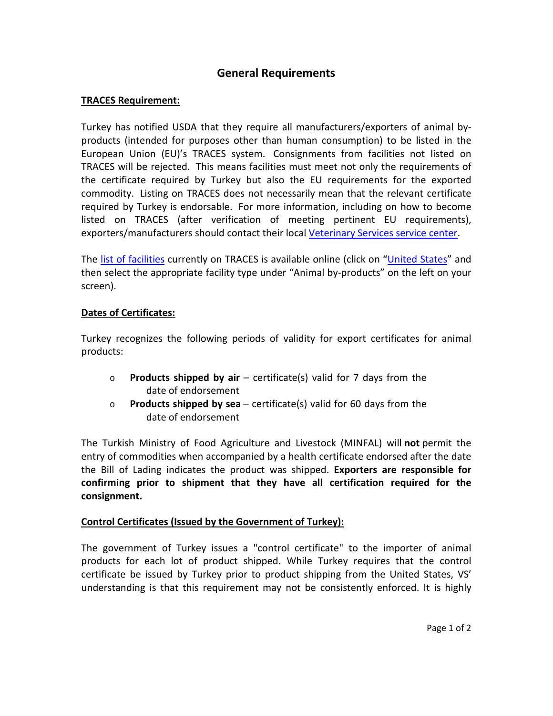## **General Requirements**

## **TRACES Requirement:**

Turkey has notified USDA that they require all manufacturers/exporters of animal byproducts (intended for purposes other than human consumption) to be listed in the European Union (EU)'s TRACES system. Consignments from facilities not listed on TRACES will be rejected. This means facilities must meet not only the requirements of the certificate required by Turkey but also the EU requirements for the exported commodity. Listing on TRACES does not necessarily mean that the relevant certificate required by Turkey is endorsable. For more information, including on how to become listed on TRACES (after verification of meeting pertinent EU requirements), exporters/manufacturers should contact their local [Veterinary Services service center.](https://www.aphis.usda.gov/animal_health/downloads/nies_contacts/sc.pdf)

The [list of facilities](https://webgate.ec.europa.eu/sanco/traces/output/non_eu_listsPerCountry_en.htm) currently on TRACES is available online (click on ["United States"](https://webgate.ec.europa.eu/sanco/traces/output/non_eu_listsPerCountry_en.htm) and then select the appropriate facility type under "Animal by-products" on the left on your screen).

## **Dates of Certificates:**

Turkey recognizes the following periods of validity for export certificates for animal products:

- o **Products shipped by air** certificate(s) valid for 7 days from the date of endorsement
- o **Products shipped by sea** certificate(s) valid for 60 days from the date of endorsement

The Turkish Ministry of Food Agriculture and Livestock (MINFAL) will **not** permit the entry of commodities when accompanied by a health certificate endorsed after the date the Bill of Lading indicates the product was shipped. **Exporters are responsible for confirming prior to shipment that they have all certification required for the consignment.**

## **Control Certificates (Issued by the Government of Turkey):**

The government of Turkey issues a "control certificate" to the importer of animal products for each lot of product shipped. While Turkey requires that the control certificate be issued by Turkey prior to product shipping from the United States, VS' understanding is that this requirement may not be consistently enforced. It is highly